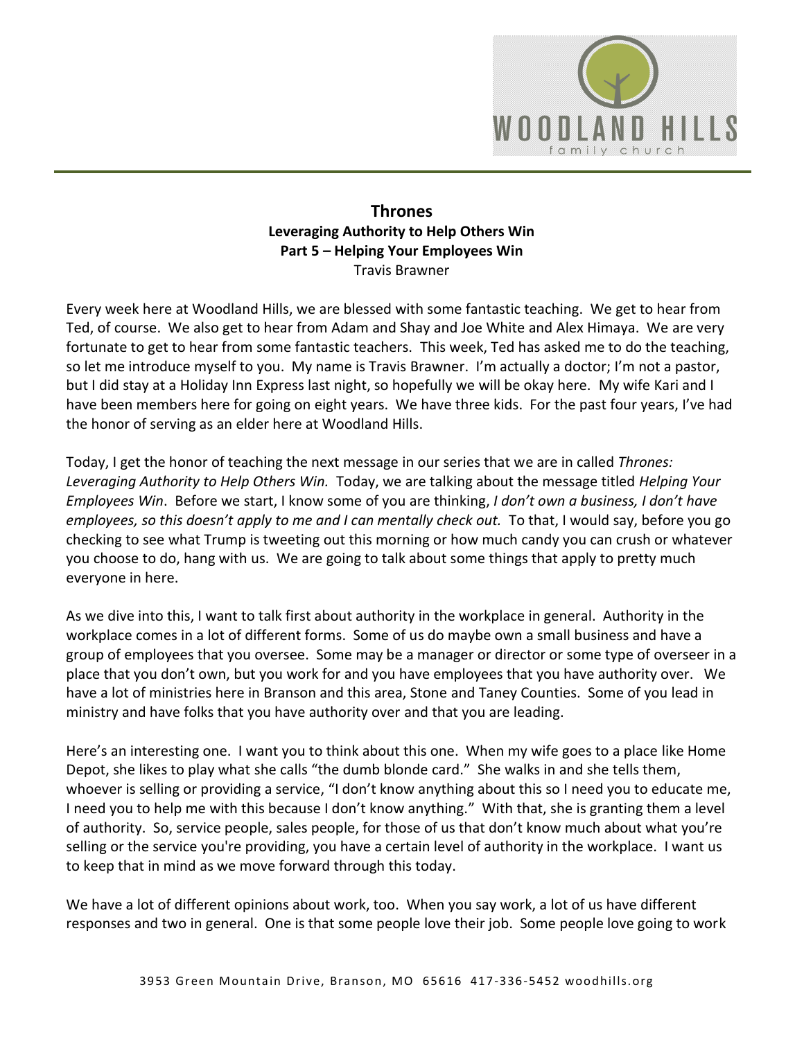

## **Thrones Leveraging Authority to Help Others Win Part 5 – Helping Your Employees Win**  Travis Brawner

Every week here at Woodland Hills, we are blessed with some fantastic teaching. We get to hear from Ted, of course. We also get to hear from Adam and Shay and Joe White and Alex Himaya. We are very fortunate to get to hear from some fantastic teachers. This week, Ted has asked me to do the teaching, so let me introduce myself to you. My name is Travis Brawner. I'm actually a doctor; I'm not a pastor, but I did stay at a Holiday Inn Express last night, so hopefully we will be okay here. My wife Kari and I have been members here for going on eight years. We have three kids. For the past four years, I've had the honor of serving as an elder here at Woodland Hills.

Today, I get the honor of teaching the next message in our series that we are in called *Thrones: Leveraging Authority to Help Others Win.* Today, we are talking about the message titled *Helping Your Employees Win*. Before we start, I know some of you are thinking, *I don't own a business, I don't have employees, so this doesn't apply to me and I can mentally check out.* To that, I would say, before you go checking to see what Trump is tweeting out this morning or how much candy you can crush or whatever you choose to do, hang with us. We are going to talk about some things that apply to pretty much everyone in here.

As we dive into this, I want to talk first about authority in the workplace in general. Authority in the workplace comes in a lot of different forms. Some of us do maybe own a small business and have a group of employees that you oversee. Some may be a manager or director or some type of overseer in a place that you don't own, but you work for and you have employees that you have authority over. We have a lot of ministries here in Branson and this area, Stone and Taney Counties. Some of you lead in ministry and have folks that you have authority over and that you are leading.

Here's an interesting one. I want you to think about this one. When my wife goes to a place like Home Depot, she likes to play what she calls "the dumb blonde card." She walks in and she tells them, whoever is selling or providing a service, "I don't know anything about this so I need you to educate me, I need you to help me with this because I don't know anything." With that, she is granting them a level of authority. So, service people, sales people, for those of us that don't know much about what you're selling or the service you're providing, you have a certain level of authority in the workplace. I want us to keep that in mind as we move forward through this today.

We have a lot of different opinions about work, too. When you say work, a lot of us have different responses and two in general. One is that some people love their job. Some people love going to work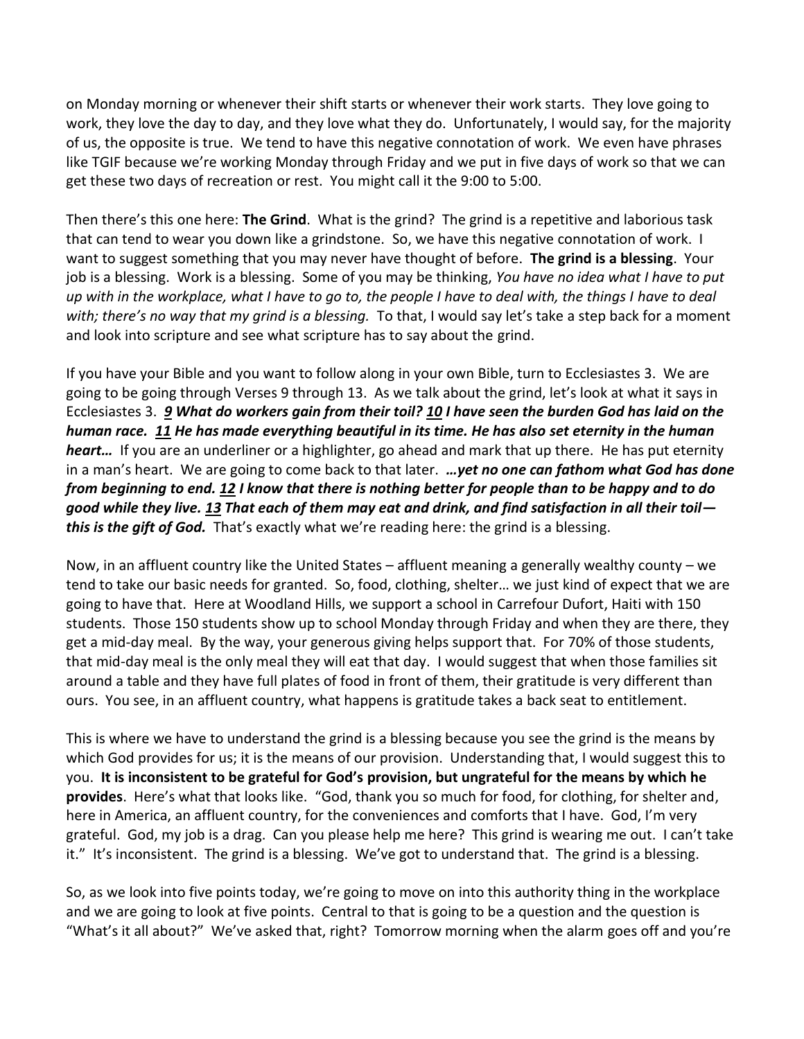on Monday morning or whenever their shift starts or whenever their work starts. They love going to work, they love the day to day, and they love what they do. Unfortunately, I would say, for the majority of us, the opposite is true. We tend to have this negative connotation of work. We even have phrases like TGIF because we're working Monday through Friday and we put in five days of work so that we can get these two days of recreation or rest. You might call it the 9:00 to 5:00.

Then there's this one here: **The Grind**. What is the grind? The grind is a repetitive and laborious task that can tend to wear you down like a grindstone. So, we have this negative connotation of work. I want to suggest something that you may never have thought of before. **The grind is a blessing**. Your job is a blessing. Work is a blessing. Some of you may be thinking, *You have no idea what I have to put up with in the workplace, what I have to go to, the people I have to deal with, the things I have to deal with; there's no way that my grind is a blessing.* To that, I would say let's take a step back for a moment and look into scripture and see what scripture has to say about the grind.

If you have your Bible and you want to follow along in your own Bible, turn to Ecclesiastes 3. We are going to be going through Verses 9 through 13. As we talk about the grind, let's look at what it says in Ecclesiastes 3. *[9](http://www.studylight.org/desk/?q=ec%203:9&t1=en_niv&sr=1) What do workers gain from their toil? [10](http://www.studylight.org/desk/?q=ec%203:10&t1=en_niv&sr=1) I have seen the burden God has laid on the human race. [11](http://www.studylight.org/desk/?q=ec%203:11&t1=en_niv&sr=1) He has made everything beautiful in its time. He has also set eternity in the human heart…* If you are an underliner or a highlighter, go ahead and mark that up there. He has put eternity in a man's heart. We are going to come back to that later. *…yet no one can fathom what God has done from beginning to end. [12](http://www.studylight.org/desk/?q=ec%203:12&t1=en_niv&sr=1) I know that there is nothing better for people than to be happy and to do good while they live. [13](http://www.studylight.org/desk/?q=ec%203:13&t1=en_niv&sr=1) That each of them may eat and drink, and find satisfaction in all their toil this is the gift of God.* That's exactly what we're reading here: the grind is a blessing.

Now, in an affluent country like the United States – affluent meaning a generally wealthy county – we tend to take our basic needs for granted. So, food, clothing, shelter… we just kind of expect that we are going to have that. Here at Woodland Hills, we support a school in Carrefour Dufort, Haiti with 150 students. Those 150 students show up to school Monday through Friday and when they are there, they get a mid-day meal. By the way, your generous giving helps support that. For 70% of those students, that mid-day meal is the only meal they will eat that day. I would suggest that when those families sit around a table and they have full plates of food in front of them, their gratitude is very different than ours. You see, in an affluent country, what happens is gratitude takes a back seat to entitlement.

This is where we have to understand the grind is a blessing because you see the grind is the means by which God provides for us; it is the means of our provision. Understanding that, I would suggest this to you. **It is inconsistent to be grateful for God's provision, but ungrateful for the means by which he provides**. Here's what that looks like. "God, thank you so much for food, for clothing, for shelter and, here in America, an affluent country, for the conveniences and comforts that I have. God, I'm very grateful. God, my job is a drag. Can you please help me here? This grind is wearing me out. I can't take it." It's inconsistent. The grind is a blessing. We've got to understand that. The grind is a blessing.

So, as we look into five points today, we're going to move on into this authority thing in the workplace and we are going to look at five points. Central to that is going to be a question and the question is "What's it all about?" We've asked that, right? Tomorrow morning when the alarm goes off and you're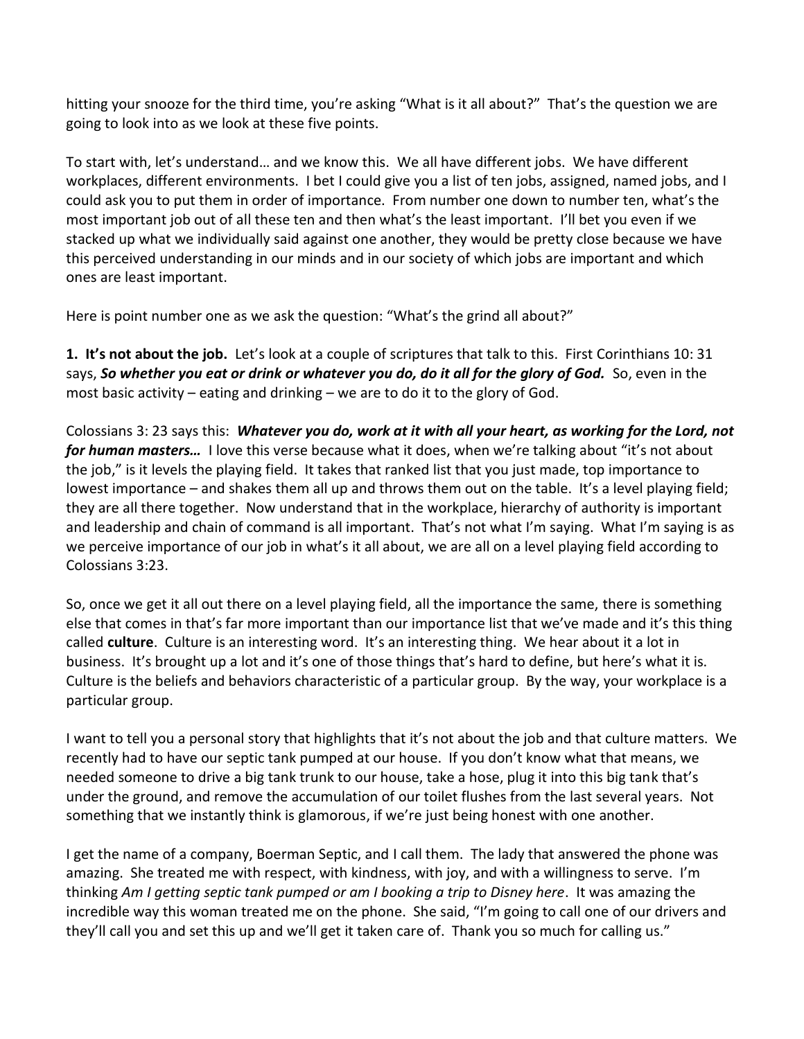hitting your snooze for the third time, you're asking "What is it all about?" That's the question we are going to look into as we look at these five points.

To start with, let's understand… and we know this. We all have different jobs. We have different workplaces, different environments. I bet I could give you a list of ten jobs, assigned, named jobs, and I could ask you to put them in order of importance. From number one down to number ten, what's the most important job out of all these ten and then what's the least important. I'll bet you even if we stacked up what we individually said against one another, they would be pretty close because we have this perceived understanding in our minds and in our society of which jobs are important and which ones are least important.

Here is point number one as we ask the question: "What's the grind all about?"

**1. It's not about the job.** Let's look at a couple of scriptures that talk to this. First Corinthians 10: 31 says, *So whether you eat or drink or whatever you do, do it all for the glory of God.* So, even in the most basic activity – eating and drinking – we are to do it to the glory of God.

Colossians 3: 23 says this: *Whatever you do, work at it with all your heart, as working for the Lord, not for human masters…* I love this verse because what it does, when we're talking about "it's not about the job," is it levels the playing field. It takes that ranked list that you just made, top importance to lowest importance – and shakes them all up and throws them out on the table. It's a level playing field; they are all there together. Now understand that in the workplace, hierarchy of authority is important and leadership and chain of command is all important. That's not what I'm saying. What I'm saying is as we perceive importance of our job in what's it all about, we are all on a level playing field according to Colossians 3:23.

So, once we get it all out there on a level playing field, all the importance the same, there is something else that comes in that's far more important than our importance list that we've made and it's this thing called **culture**. Culture is an interesting word. It's an interesting thing. We hear about it a lot in business. It's brought up a lot and it's one of those things that's hard to define, but here's what it is. Culture is the beliefs and behaviors characteristic of a particular group. By the way, your workplace is a particular group.

I want to tell you a personal story that highlights that it's not about the job and that culture matters. We recently had to have our septic tank pumped at our house. If you don't know what that means, we needed someone to drive a big tank trunk to our house, take a hose, plug it into this big tank that's under the ground, and remove the accumulation of our toilet flushes from the last several years. Not something that we instantly think is glamorous, if we're just being honest with one another.

I get the name of a company, Boerman Septic, and I call them. The lady that answered the phone was amazing. She treated me with respect, with kindness, with joy, and with a willingness to serve. I'm thinking *Am I getting septic tank pumped or am I booking a trip to Disney here*. It was amazing the incredible way this woman treated me on the phone. She said, "I'm going to call one of our drivers and they'll call you and set this up and we'll get it taken care of. Thank you so much for calling us."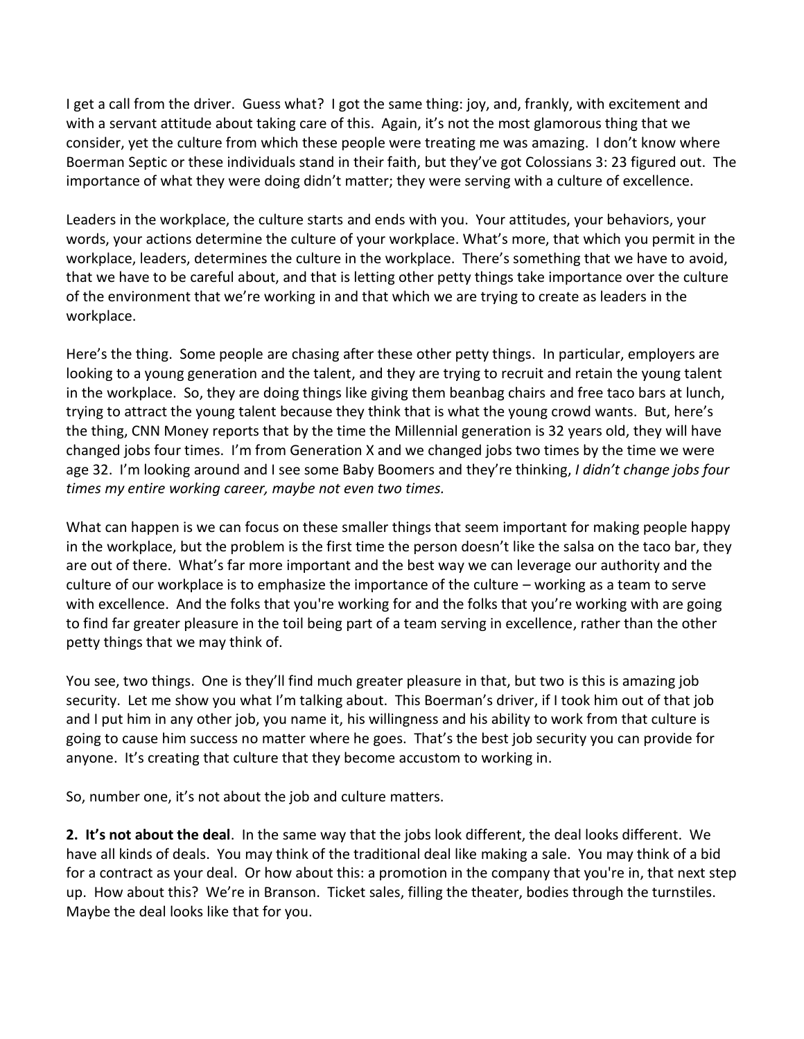I get a call from the driver. Guess what? I got the same thing: joy, and, frankly, with excitement and with a servant attitude about taking care of this. Again, it's not the most glamorous thing that we consider, yet the culture from which these people were treating me was amazing. I don't know where Boerman Septic or these individuals stand in their faith, but they've got Colossians 3: 23 figured out. The importance of what they were doing didn't matter; they were serving with a culture of excellence.

Leaders in the workplace, the culture starts and ends with you. Your attitudes, your behaviors, your words, your actions determine the culture of your workplace. What's more, that which you permit in the workplace, leaders, determines the culture in the workplace. There's something that we have to avoid, that we have to be careful about, and that is letting other petty things take importance over the culture of the environment that we're working in and that which we are trying to create as leaders in the workplace.

Here's the thing. Some people are chasing after these other petty things. In particular, employers are looking to a young generation and the talent, and they are trying to recruit and retain the young talent in the workplace. So, they are doing things like giving them beanbag chairs and free taco bars at lunch, trying to attract the young talent because they think that is what the young crowd wants. But, here's the thing, CNN Money reports that by the time the Millennial generation is 32 years old, they will have changed jobs four times. I'm from Generation X and we changed jobs two times by the time we were age 32. I'm looking around and I see some Baby Boomers and they're thinking, *I didn't change jobs four times my entire working career, maybe not even two times.* 

What can happen is we can focus on these smaller things that seem important for making people happy in the workplace, but the problem is the first time the person doesn't like the salsa on the taco bar, they are out of there. What's far more important and the best way we can leverage our authority and the culture of our workplace is to emphasize the importance of the culture – working as a team to serve with excellence. And the folks that you're working for and the folks that you're working with are going to find far greater pleasure in the toil being part of a team serving in excellence, rather than the other petty things that we may think of.

You see, two things. One is they'll find much greater pleasure in that, but two is this is amazing job security. Let me show you what I'm talking about. This Boerman's driver, if I took him out of that job and I put him in any other job, you name it, his willingness and his ability to work from that culture is going to cause him success no matter where he goes. That's the best job security you can provide for anyone. It's creating that culture that they become accustom to working in.

So, number one, it's not about the job and culture matters.

**2. It's not about the deal**. In the same way that the jobs look different, the deal looks different. We have all kinds of deals. You may think of the traditional deal like making a sale. You may think of a bid for a contract as your deal. Or how about this: a promotion in the company that you're in, that next step up. How about this? We're in Branson. Ticket sales, filling the theater, bodies through the turnstiles. Maybe the deal looks like that for you.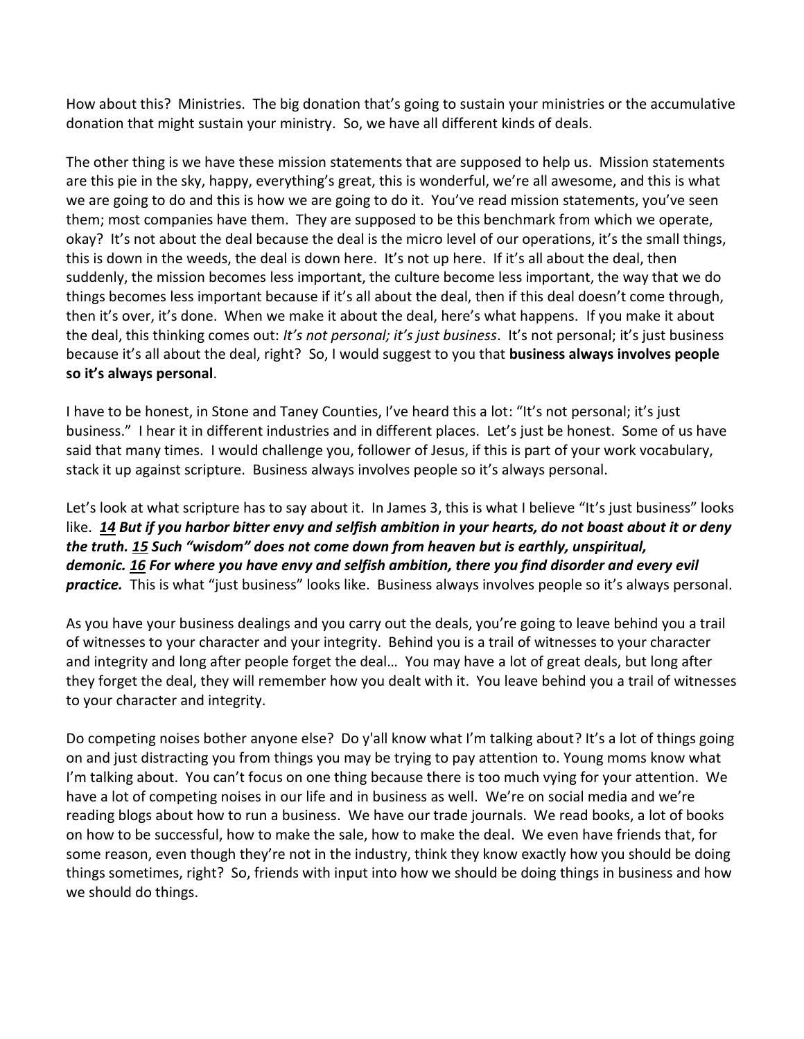How about this? Ministries. The big donation that's going to sustain your ministries or the accumulative donation that might sustain your ministry. So, we have all different kinds of deals.

The other thing is we have these mission statements that are supposed to help us. Mission statements are this pie in the sky, happy, everything's great, this is wonderful, we're all awesome, and this is what we are going to do and this is how we are going to do it. You've read mission statements, you've seen them; most companies have them. They are supposed to be this benchmark from which we operate, okay? It's not about the deal because the deal is the micro level of our operations, it's the small things, this is down in the weeds, the deal is down here. It's not up here. If it's all about the deal, then suddenly, the mission becomes less important, the culture become less important, the way that we do things becomes less important because if it's all about the deal, then if this deal doesn't come through, then it's over, it's done. When we make it about the deal, here's what happens. If you make it about the deal, this thinking comes out: *It's not personal; it's just business*. It's not personal; it's just business because it's all about the deal, right? So, I would suggest to you that **business always involves people so it's always personal**.

I have to be honest, in Stone and Taney Counties, I've heard this a lot: "It's not personal; it's just business." I hear it in different industries and in different places. Let's just be honest. Some of us have said that many times. I would challenge you, follower of Jesus, if this is part of your work vocabulary, stack it up against scripture. Business always involves people so it's always personal.

Let's look at what scripture has to say about it. In James 3, this is what I believe "It's just business" looks like. *[14](http://www.studylight.org/desk/?q=jas%203:14&t1=en_niv&sr=1) But if you harbor bitter envy and selfish ambition in your hearts, do not boast about it or deny the truth. [15](http://www.studylight.org/desk/?q=jas%203:15&t1=en_niv&sr=1) Such "wisdom" does not come down from heaven but is earthly, unspiritual, demonic[. 16](http://www.studylight.org/desk/?q=jas%203:16&t1=en_niv&sr=1) For where you have envy and selfish ambition, there you find disorder and every evil practice.* This is what "just business" looks like. Business always involves people so it's always personal.

As you have your business dealings and you carry out the deals, you're going to leave behind you a trail of witnesses to your character and your integrity. Behind you is a trail of witnesses to your character and integrity and long after people forget the deal… You may have a lot of great deals, but long after they forget the deal, they will remember how you dealt with it. You leave behind you a trail of witnesses to your character and integrity.

Do competing noises bother anyone else? Do y'all know what I'm talking about? It's a lot of things going on and just distracting you from things you may be trying to pay attention to. Young moms know what I'm talking about. You can't focus on one thing because there is too much vying for your attention. We have a lot of competing noises in our life and in business as well. We're on social media and we're reading blogs about how to run a business. We have our trade journals. We read books, a lot of books on how to be successful, how to make the sale, how to make the deal. We even have friends that, for some reason, even though they're not in the industry, think they know exactly how you should be doing things sometimes, right? So, friends with input into how we should be doing things in business and how we should do things.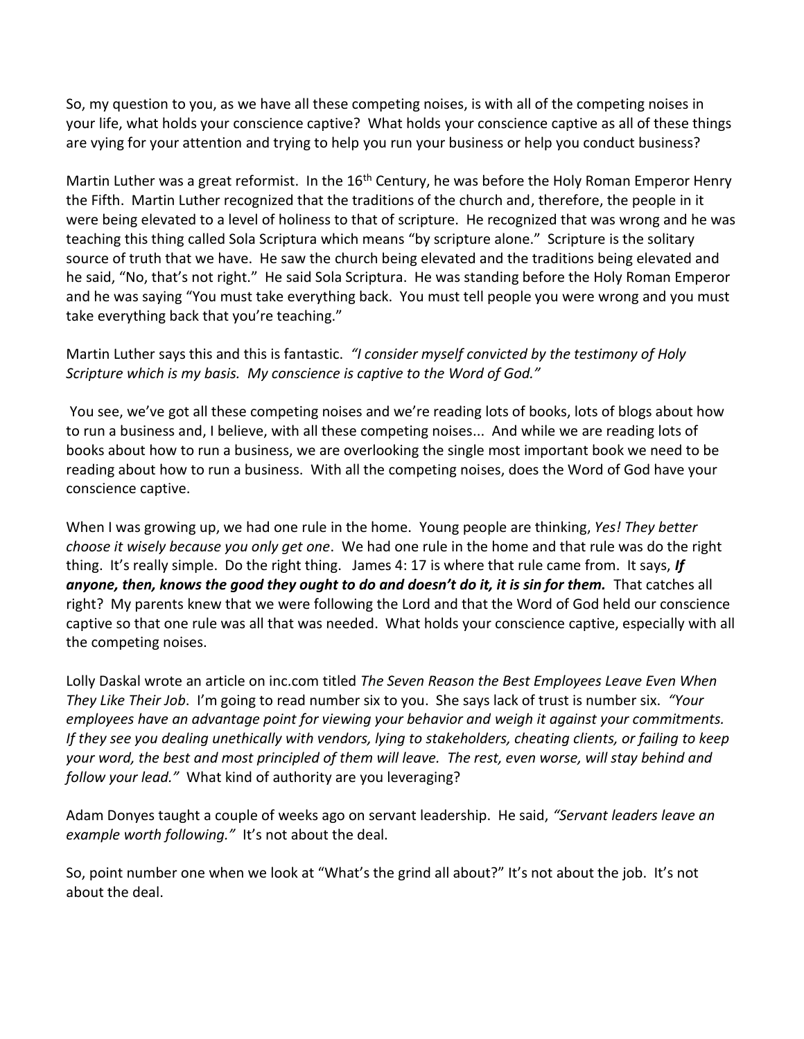So, my question to you, as we have all these competing noises, is with all of the competing noises in your life, what holds your conscience captive? What holds your conscience captive as all of these things are vying for your attention and trying to help you run your business or help you conduct business?

Martin Luther was a great reformist. In the  $16<sup>th</sup>$  Century, he was before the Holy Roman Emperor Henry the Fifth. Martin Luther recognized that the traditions of the church and, therefore, the people in it were being elevated to a level of holiness to that of scripture. He recognized that was wrong and he was teaching this thing called Sola Scriptura which means "by scripture alone." Scripture is the solitary source of truth that we have. He saw the church being elevated and the traditions being elevated and he said, "No, that's not right." He said Sola Scriptura. He was standing before the Holy Roman Emperor and he was saying "You must take everything back. You must tell people you were wrong and you must take everything back that you're teaching."

## Martin Luther says this and this is fantastic. *"I consider myself convicted by the testimony of Holy Scripture which is my basis. My conscience is captive to the Word of God."*

You see, we've got all these competing noises and we're reading lots of books, lots of blogs about how to run a business and, I believe, with all these competing noises... And while we are reading lots of books about how to run a business, we are overlooking the single most important book we need to be reading about how to run a business. With all the competing noises, does the Word of God have your conscience captive.

When I was growing up, we had one rule in the home. Young people are thinking, *Yes! They better choose it wisely because you only get one*. We had one rule in the home and that rule was do the right thing. It's really simple. Do the right thing. James 4: 17 is where that rule came from. It says, *If anyone, then, knows the good they ought to do and doesn't do it, it is sin for them.* That catches all right? My parents knew that we were following the Lord and that the Word of God held our conscience captive so that one rule was all that was needed. What holds your conscience captive, especially with all the competing noises.

Lolly Daskal wrote an article on inc.com titled *The Seven Reason the Best Employees Leave Even When They Like Their Job*. I'm going to read number six to you. She says lack of trust is number six. *"Your employees have an advantage point for viewing your behavior and weigh it against your commitments. If they see you dealing unethically with vendors, lying to stakeholders, cheating clients, or failing to keep your word, the best and most principled of them will leave. The rest, even worse, will stay behind and follow your lead."* What kind of authority are you leveraging?

Adam Donyes taught a couple of weeks ago on servant leadership. He said, *"Servant leaders leave an example worth following."* It's not about the deal.

So, point number one when we look at "What's the grind all about?" It's not about the job. It's not about the deal.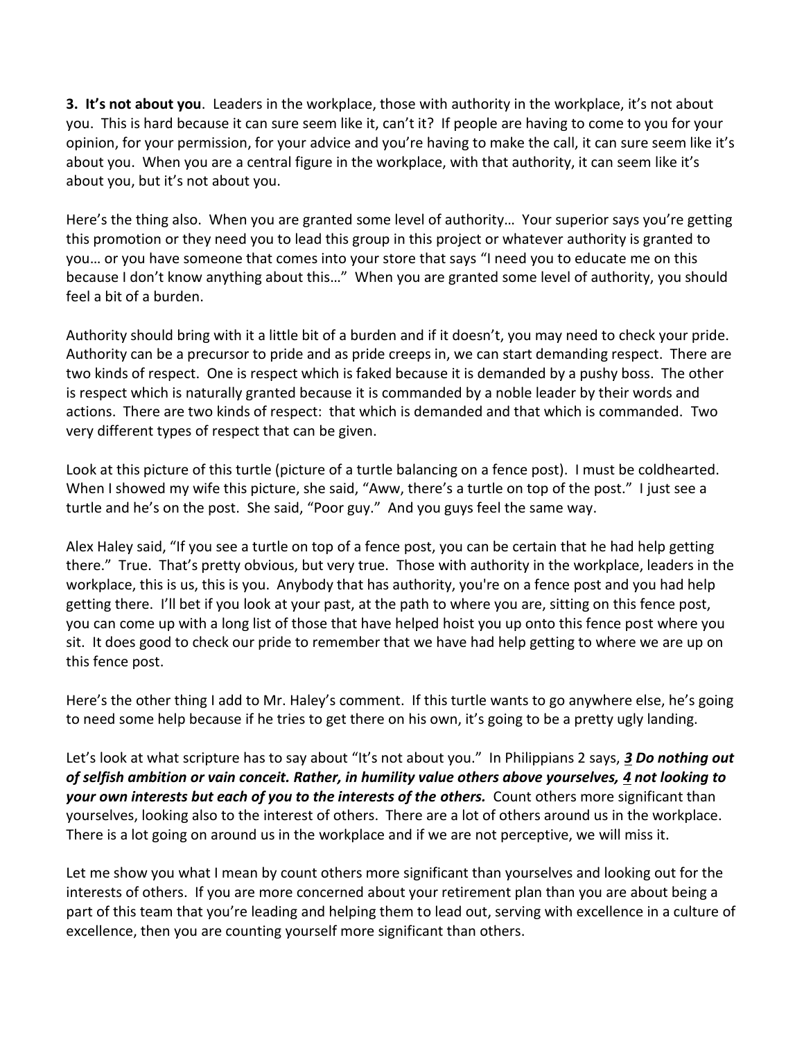**3. It's not about you**. Leaders in the workplace, those with authority in the workplace, it's not about you. This is hard because it can sure seem like it, can't it? If people are having to come to you for your opinion, for your permission, for your advice and you're having to make the call, it can sure seem like it's about you. When you are a central figure in the workplace, with that authority, it can seem like it's about you, but it's not about you.

Here's the thing also. When you are granted some level of authority… Your superior says you're getting this promotion or they need you to lead this group in this project or whatever authority is granted to you… or you have someone that comes into your store that says "I need you to educate me on this because I don't know anything about this…" When you are granted some level of authority, you should feel a bit of a burden.

Authority should bring with it a little bit of a burden and if it doesn't, you may need to check your pride. Authority can be a precursor to pride and as pride creeps in, we can start demanding respect. There are two kinds of respect. One is respect which is faked because it is demanded by a pushy boss. The other is respect which is naturally granted because it is commanded by a noble leader by their words and actions. There are two kinds of respect: that which is demanded and that which is commanded. Two very different types of respect that can be given.

Look at this picture of this turtle (picture of a turtle balancing on a fence post). I must be coldhearted. When I showed my wife this picture, she said, "Aww, there's a turtle on top of the post." I just see a turtle and he's on the post. She said, "Poor guy." And you guys feel the same way.

Alex Haley said, "If you see a turtle on top of a fence post, you can be certain that he had help getting there." True. That's pretty obvious, but very true. Those with authority in the workplace, leaders in the workplace, this is us, this is you. Anybody that has authority, you're on a fence post and you had help getting there. I'll bet if you look at your past, at the path to where you are, sitting on this fence post, you can come up with a long list of those that have helped hoist you up onto this fence post where you sit. It does good to check our pride to remember that we have had help getting to where we are up on this fence post.

Here's the other thing I add to Mr. Haley's comment. If this turtle wants to go anywhere else, he's going to need some help because if he tries to get there on his own, it's going to be a pretty ugly landing.

Let's look at what scripture has to say about "It's not about you." In Philippians 2 says, *[3](http://www.studylight.org/desk/?q=php%202:3&t1=en_niv&sr=1) Do nothing out of selfish ambition or vain conceit. Rather, in humility value others above yourselves, [4](http://www.studylight.org/desk/?q=php%202:4&t1=en_niv&sr=1) not looking to your own interests but each of you to the interests of the others.* Count others more significant than yourselves, looking also to the interest of others. There are a lot of others around us in the workplace. There is a lot going on around us in the workplace and if we are not perceptive, we will miss it.

Let me show you what I mean by count others more significant than yourselves and looking out for the interests of others. If you are more concerned about your retirement plan than you are about being a part of this team that you're leading and helping them to lead out, serving with excellence in a culture of excellence, then you are counting yourself more significant than others.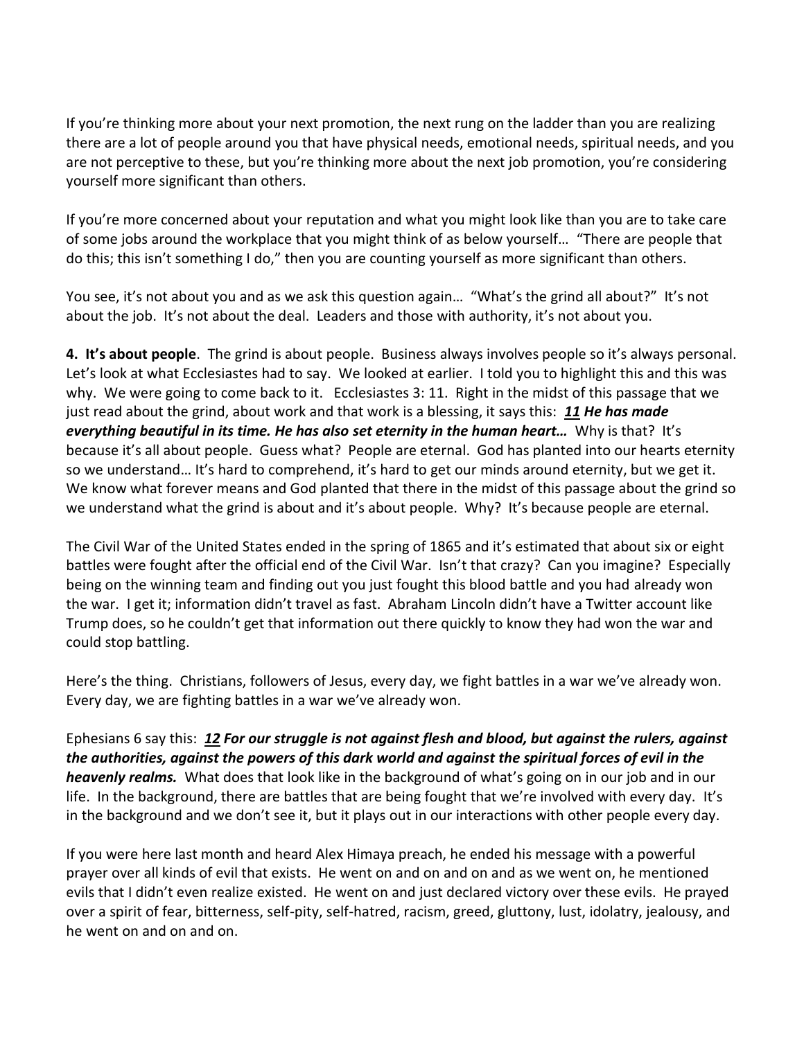If you're thinking more about your next promotion, the next rung on the ladder than you are realizing there are a lot of people around you that have physical needs, emotional needs, spiritual needs, and you are not perceptive to these, but you're thinking more about the next job promotion, you're considering yourself more significant than others.

If you're more concerned about your reputation and what you might look like than you are to take care of some jobs around the workplace that you might think of as below yourself… "There are people that do this; this isn't something I do," then you are counting yourself as more significant than others.

You see, it's not about you and as we ask this question again… "What's the grind all about?" It's not about the job. It's not about the deal. Leaders and those with authority, it's not about you.

**4. It's about people**. The grind is about people. Business always involves people so it's always personal. Let's look at what Ecclesiastes had to say. We looked at earlier. I told you to highlight this and this was why. We were going to come back to it. Ecclesiastes 3: 11. Right in the midst of this passage that we just read about the grind, about work and that work is a blessing, it says this: *[11](http://www.studylight.org/desk/?q=ec%203:11&t1=en_niv&sr=1) He has made everything beautiful in its time. He has also set eternity in the human heart…* Why is that? It's because it's all about people. Guess what? People are eternal. God has planted into our hearts eternity so we understand… It's hard to comprehend, it's hard to get our minds around eternity, but we get it. We know what forever means and God planted that there in the midst of this passage about the grind so we understand what the grind is about and it's about people. Why? It's because people are eternal.

The Civil War of the United States ended in the spring of 1865 and it's estimated that about six or eight battles were fought after the official end of the Civil War. Isn't that crazy? Can you imagine? Especially being on the winning team and finding out you just fought this blood battle and you had already won the war. I get it; information didn't travel as fast. Abraham Lincoln didn't have a Twitter account like Trump does, so he couldn't get that information out there quickly to know they had won the war and could stop battling.

Here's the thing. Christians, followers of Jesus, every day, we fight battles in a war we've already won. Every day, we are fighting battles in a war we've already won.

Ephesians 6 say this: *[12](http://www.studylight.org/desk/?q=eph%206:12&t1=en_niv&sr=1) For our struggle is not against flesh and blood, but against the rulers, against the authorities, against the powers of this dark world and against the spiritual forces of evil in the heavenly realms.* What does that look like in the background of what's going on in our job and in our life. In the background, there are battles that are being fought that we're involved with every day. It's in the background and we don't see it, but it plays out in our interactions with other people every day.

If you were here last month and heard Alex Himaya preach, he ended his message with a powerful prayer over all kinds of evil that exists. He went on and on and on and as we went on, he mentioned evils that I didn't even realize existed. He went on and just declared victory over these evils. He prayed over a spirit of fear, bitterness, self-pity, self-hatred, racism, greed, gluttony, lust, idolatry, jealousy, and he went on and on and on.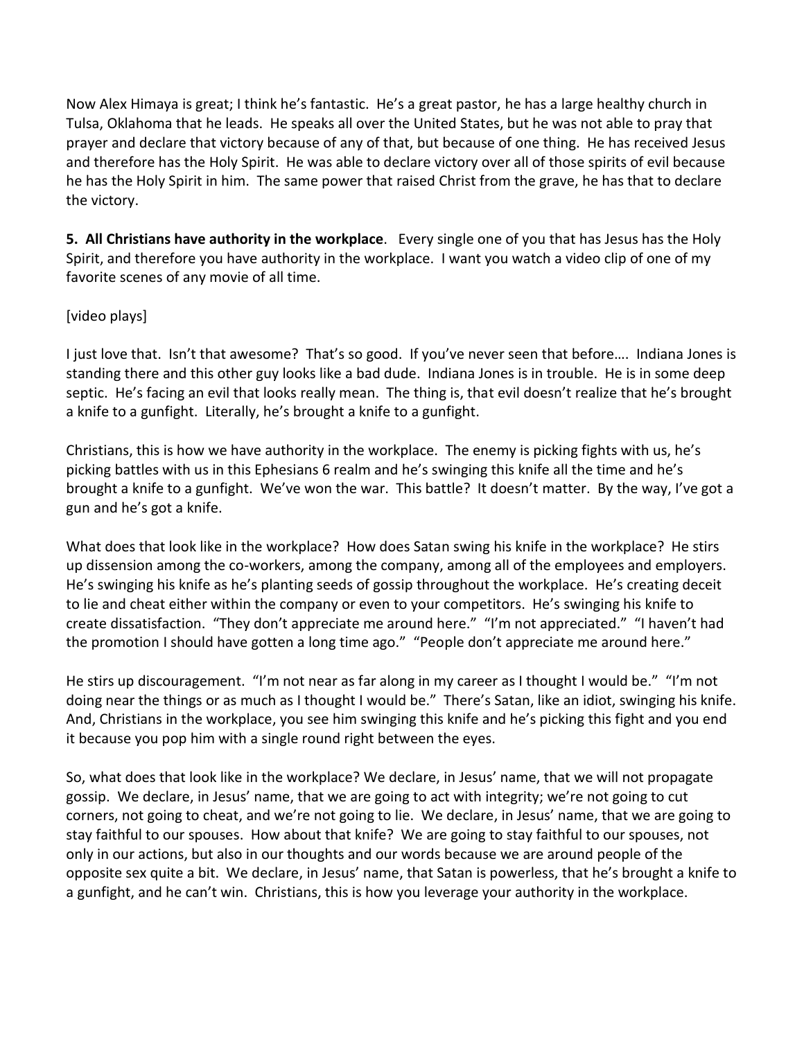Now Alex Himaya is great; I think he's fantastic. He's a great pastor, he has a large healthy church in Tulsa, Oklahoma that he leads. He speaks all over the United States, but he was not able to pray that prayer and declare that victory because of any of that, but because of one thing. He has received Jesus and therefore has the Holy Spirit. He was able to declare victory over all of those spirits of evil because he has the Holy Spirit in him. The same power that raised Christ from the grave, he has that to declare the victory.

**5. All Christians have authority in the workplace**. Every single one of you that has Jesus has the Holy Spirit, and therefore you have authority in the workplace. I want you watch a video clip of one of my favorite scenes of any movie of all time.

## [video plays]

I just love that. Isn't that awesome? That's so good. If you've never seen that before…. Indiana Jones is standing there and this other guy looks like a bad dude. Indiana Jones is in trouble. He is in some deep septic. He's facing an evil that looks really mean. The thing is, that evil doesn't realize that he's brought a knife to a gunfight. Literally, he's brought a knife to a gunfight.

Christians, this is how we have authority in the workplace. The enemy is picking fights with us, he's picking battles with us in this Ephesians 6 realm and he's swinging this knife all the time and he's brought a knife to a gunfight. We've won the war. This battle? It doesn't matter. By the way, I've got a gun and he's got a knife.

What does that look like in the workplace? How does Satan swing his knife in the workplace? He stirs up dissension among the co-workers, among the company, among all of the employees and employers. He's swinging his knife as he's planting seeds of gossip throughout the workplace. He's creating deceit to lie and cheat either within the company or even to your competitors. He's swinging his knife to create dissatisfaction. "They don't appreciate me around here." "I'm not appreciated." "I haven't had the promotion I should have gotten a long time ago." "People don't appreciate me around here."

He stirs up discouragement. "I'm not near as far along in my career as I thought I would be." "I'm not doing near the things or as much as I thought I would be." There's Satan, like an idiot, swinging his knife. And, Christians in the workplace, you see him swinging this knife and he's picking this fight and you end it because you pop him with a single round right between the eyes.

So, what does that look like in the workplace? We declare, in Jesus' name, that we will not propagate gossip. We declare, in Jesus' name, that we are going to act with integrity; we're not going to cut corners, not going to cheat, and we're not going to lie. We declare, in Jesus' name, that we are going to stay faithful to our spouses. How about that knife? We are going to stay faithful to our spouses, not only in our actions, but also in our thoughts and our words because we are around people of the opposite sex quite a bit. We declare, in Jesus' name, that Satan is powerless, that he's brought a knife to a gunfight, and he can't win. Christians, this is how you leverage your authority in the workplace.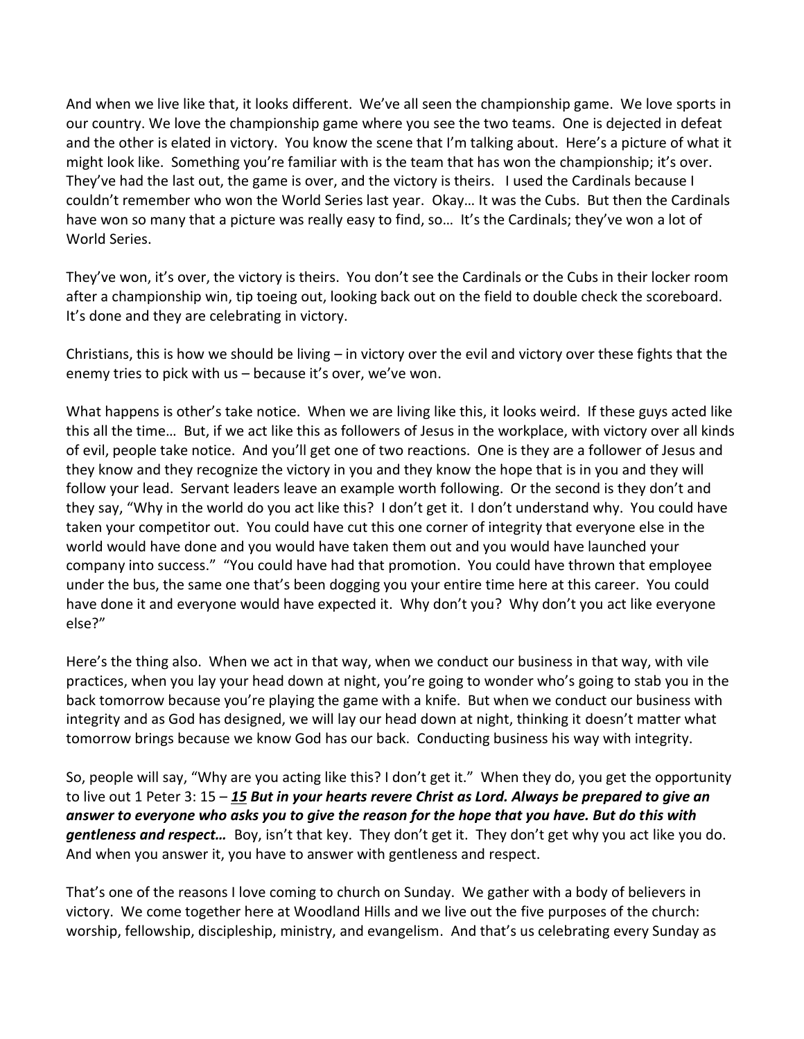And when we live like that, it looks different. We've all seen the championship game. We love sports in our country. We love the championship game where you see the two teams. One is dejected in defeat and the other is elated in victory. You know the scene that I'm talking about. Here's a picture of what it might look like. Something you're familiar with is the team that has won the championship; it's over. They've had the last out, the game is over, and the victory is theirs. I used the Cardinals because I couldn't remember who won the World Series last year. Okay… It was the Cubs. But then the Cardinals have won so many that a picture was really easy to find, so... It's the Cardinals; they've won a lot of World Series.

They've won, it's over, the victory is theirs. You don't see the Cardinals or the Cubs in their locker room after a championship win, tip toeing out, looking back out on the field to double check the scoreboard. It's done and they are celebrating in victory.

Christians, this is how we should be living – in victory over the evil and victory over these fights that the enemy tries to pick with us – because it's over, we've won.

What happens is other's take notice. When we are living like this, it looks weird. If these guys acted like this all the time… But, if we act like this as followers of Jesus in the workplace, with victory over all kinds of evil, people take notice. And you'll get one of two reactions. One is they are a follower of Jesus and they know and they recognize the victory in you and they know the hope that is in you and they will follow your lead. Servant leaders leave an example worth following. Or the second is they don't and they say, "Why in the world do you act like this? I don't get it. I don't understand why. You could have taken your competitor out. You could have cut this one corner of integrity that everyone else in the world would have done and you would have taken them out and you would have launched your company into success." "You could have had that promotion. You could have thrown that employee under the bus, the same one that's been dogging you your entire time here at this career. You could have done it and everyone would have expected it. Why don't you? Why don't you act like everyone else?"

Here's the thing also. When we act in that way, when we conduct our business in that way, with vile practices, when you lay your head down at night, you're going to wonder who's going to stab you in the back tomorrow because you're playing the game with a knife. But when we conduct our business with integrity and as God has designed, we will lay our head down at night, thinking it doesn't matter what tomorrow brings because we know God has our back. Conducting business his way with integrity.

So, people will say, "Why are you acting like this? I don't get it." When they do, you get the opportunity to live out 1 Peter 3: 15 – *[15](http://www.studylight.org/desk/?q=1pe%203:15&t1=en_niv&sr=1) But in your hearts revere Christ as Lord. Always be prepared to give an answer to everyone who asks you to give the reason for the hope that you have. But do this with gentleness and respect…* Boy, isn't that key. They don't get it. They don't get why you act like you do. And when you answer it, you have to answer with gentleness and respect.

That's one of the reasons I love coming to church on Sunday. We gather with a body of believers in victory. We come together here at Woodland Hills and we live out the five purposes of the church: worship, fellowship, discipleship, ministry, and evangelism. And that's us celebrating every Sunday as